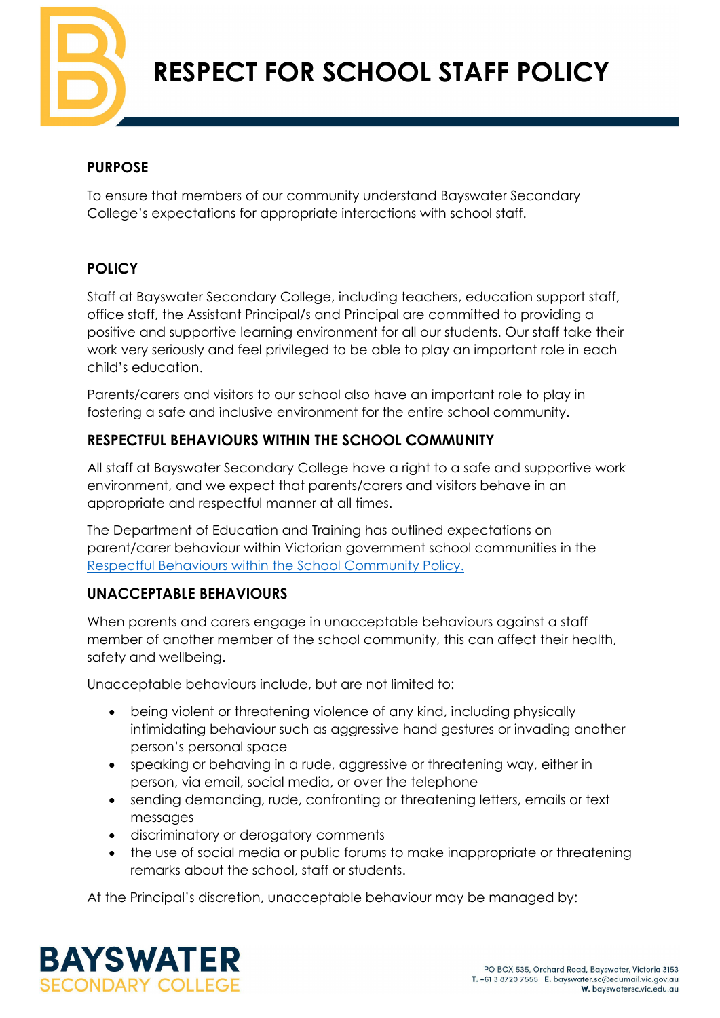

# **RESPECT FOR SCHOOL STAFF POLICY**

## **PURPOSE**

To ensure that members of our community understand Bayswater Secondary College's expectations for appropriate interactions with school staff.

## **POLICY**

Staff at Bayswater Secondary College, including teachers, education support staff, office staff, the Assistant Principal/s and Principal are committed to providing a positive and supportive learning environment for all our students. Our staff take their work very seriously and feel privileged to be able to play an important role in each child's education.

Parents/carers and visitors to our school also have an important role to play in fostering a safe and inclusive environment for the entire school community.

#### **RESPECTFUL BEHAVIOURS WITHIN THE SCHOOL COMMUNITY**

All staff at Bayswater Secondary College have a right to a safe and supportive work environment, and we expect that parents/carers and visitors behave in an appropriate and respectful manner at all times.

The Department of Education and Training has outlined expectations on parent/carer behaviour within Victorian government school communities in the [Respectful Behaviours within the School Community Policy.](https://www.education.vic.gov.au/Pages/Respectful-Behaviours-within-the-School-Community-Policy.aspx)

#### **UNACCEPTABLE BEHAVIOURS**

When parents and carers engage in unacceptable behaviours against a staff member of another member of the school community, this can affect their health, safety and wellbeing.

Unacceptable behaviours include, but are not limited to:

- being violent or threatening violence of any kind, including physically intimidating behaviour such as aggressive hand gestures or invading another person's personal space
- speaking or behaving in a rude, aggressive or threatening way, either in person, via email, social media, or over the telephone
- sending demanding, rude, confronting or threatening letters, emails or text messages
- discriminatory or derogatory comments
- the use of social media or public forums to make inappropriate or threatening remarks about the school, staff or students.

At the Principal's discretion, unacceptable behaviour may be managed by:

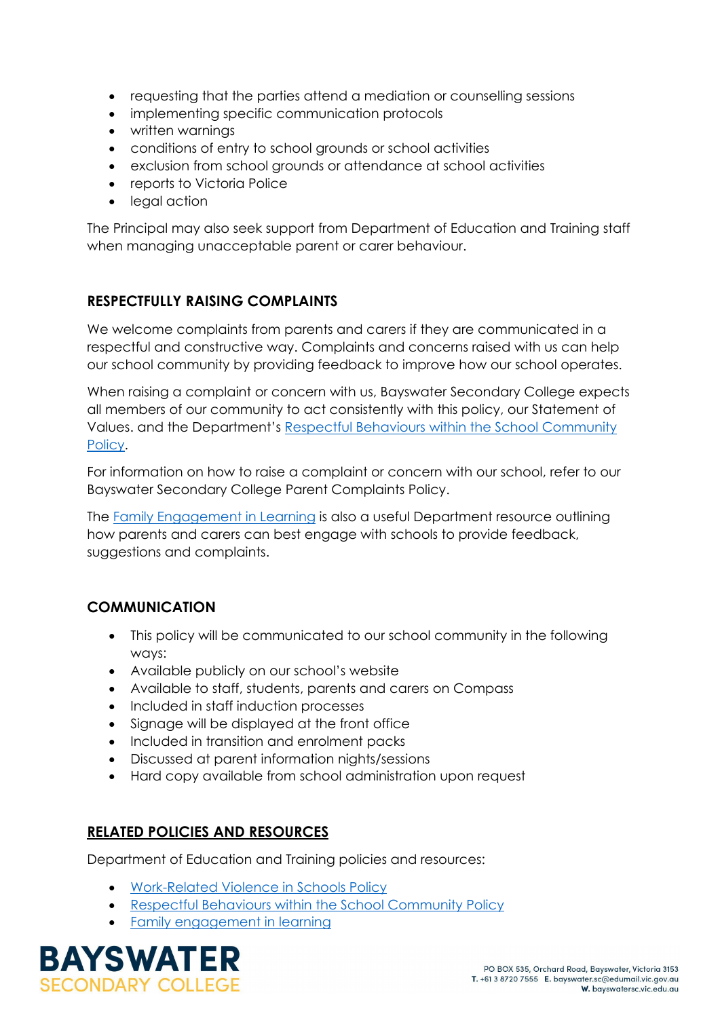- requesting that the parties attend a mediation or counselling sessions
- implementing specific communication protocols
- written warnings
- conditions of entry to school grounds or school activities
- exclusion from school grounds or attendance at school activities
- reports to Victoria Police
- legal action

The Principal may also seek support from Department of Education and Training staff when managing unacceptable parent or carer behaviour.

#### **RESPECTFULLY RAISING COMPLAINTS**

We welcome complaints from parents and carers if they are communicated in a respectful and constructive way. Complaints and concerns raised with us can help our school community by providing feedback to improve how our school operates.

When raising a complaint or concern with us, Bayswater Secondary College expects all members of our community to act consistently with this policy, our Statement of Values. and the Department's [Respectful Behaviours within the School Community](https://www.education.vic.gov.au/Pages/Respectful-Behaviours-within-the-School-Community-Policy.aspx)  [Policy.](https://www.education.vic.gov.au/Pages/Respectful-Behaviours-within-the-School-Community-Policy.aspx)

For information on how to raise a complaint or concern with our school, refer to our Bayswater Secondary College Parent Complaints Policy.

The [Family Engagement in Learning](https://www.education.vic.gov.au/PAL/family-engagement-in-learning.docx) is also a useful Department resource outlining how parents and carers can best engage with schools to provide feedback, suggestions and complaints.

#### **COMMUNICATION**

- This policy will be communicated to our school community in the following ways:
- Available publicly on our school's website
- Available to staff, students, parents and carers on Compass
- Included in staff induction processes
- Signage will be displayed at the front office
- Included in transition and enrolment packs
- Discussed at parent information nights/sessions
- Hard copy available from school administration upon request

#### **RELATED POLICIES AND RESOURCES**

Department of Education and Training policies and resources:

- [Work-Related Violence in Schools Policy](https://www2.education.vic.gov.au/pal/occupational-violence-and-aggression-schools/policy)
- [Respectful Behaviours within the School Community Policy](https://www.education.vic.gov.au/Pages/Respectful-Behaviours-within-the-School-Community-Policy.aspx)
- [Family engagement in learning](https://www.education.vic.gov.au/PAL/family-engagement-in-learning.docx)